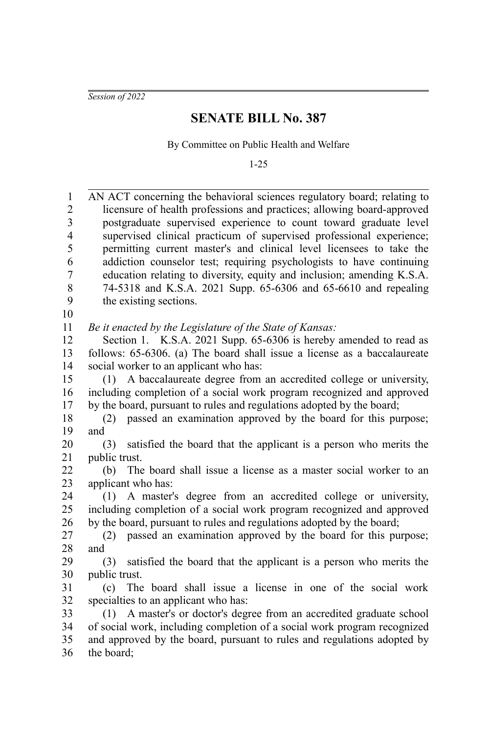*Session of 2022*

## **SENATE BILL No. 387**

By Committee on Public Health and Welfare

1-25

| $\mathbf{1}$          | AN ACT concerning the behavioral sciences regulatory board; relating to                                                                  |
|-----------------------|------------------------------------------------------------------------------------------------------------------------------------------|
| $\overline{2}$        | licensure of health professions and practices; allowing board-approved                                                                   |
| 3                     | postgraduate supervised experience to count toward graduate level                                                                        |
| $\overline{4}$        | supervised clinical practicum of supervised professional experience;                                                                     |
| 5                     | permitting current master's and clinical level licensees to take the                                                                     |
| 6                     | addiction counselor test; requiring psychologists to have continuing                                                                     |
| $\boldsymbol{7}$<br>8 | education relating to diversity, equity and inclusion; amending K.S.A.                                                                   |
| 9                     | 74-5318 and K.S.A. 2021 Supp. 65-6306 and 65-6610 and repealing<br>the existing sections.                                                |
| 10                    |                                                                                                                                          |
| 11                    | Be it enacted by the Legislature of the State of Kansas:                                                                                 |
| 12                    | Section 1. K.S.A. 2021 Supp. 65-6306 is hereby amended to read as                                                                        |
| 13                    | follows: 65-6306. (a) The board shall issue a license as a baccalaureate                                                                 |
| 14                    | social worker to an applicant who has:                                                                                                   |
| 15                    | A baccalaureate degree from an accredited college or university,<br>(1)                                                                  |
| 16                    | including completion of a social work program recognized and approved                                                                    |
| 17                    | by the board, pursuant to rules and regulations adopted by the board;                                                                    |
| 18                    | passed an examination approved by the board for this purpose;<br>(2)                                                                     |
| 19                    | and                                                                                                                                      |
| 20                    | satisfied the board that the applicant is a person who merits the<br>(3)                                                                 |
| 21                    | public trust.                                                                                                                            |
| 22                    | The board shall issue a license as a master social worker to an<br>(b)                                                                   |
| 23                    | applicant who has:                                                                                                                       |
| 24<br>25              | (1) A master's degree from an accredited college or university,<br>including completion of a social work program recognized and approved |
| 26                    | by the board, pursuant to rules and regulations adopted by the board;                                                                    |
| 27                    | passed an examination approved by the board for this purpose;<br>(2)                                                                     |
| 28                    | and                                                                                                                                      |
| 29                    | satisfied the board that the applicant is a person who merits the<br>(3)                                                                 |
| 30                    | public trust.                                                                                                                            |
| 31                    | The board shall issue a license in one of the social work<br>(c)                                                                         |
| 32                    | specialties to an applicant who has:                                                                                                     |
| 33                    | (1) A master's or doctor's degree from an accredited graduate school                                                                     |
| 34                    | of social work, including completion of a social work program recognized                                                                 |
| 35                    | and approved by the board, pursuant to rules and regulations adopted by                                                                  |
| 36                    | the board;                                                                                                                               |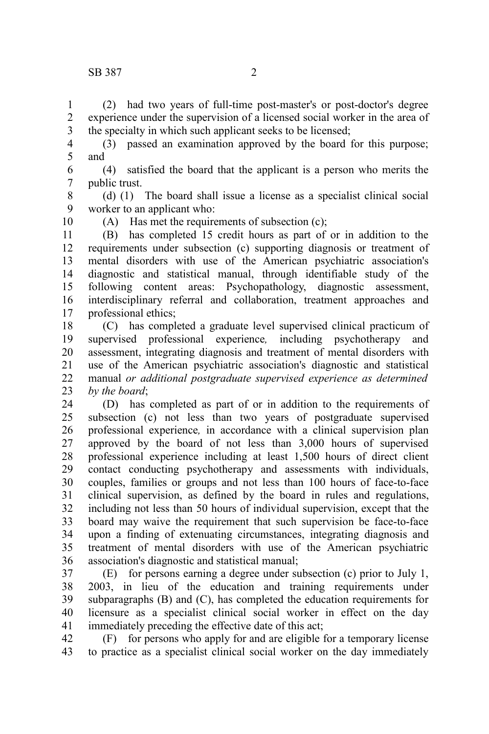(2) had two years of full-time post-master's or post-doctor's degree experience under the supervision of a licensed social worker in the area of the specialty in which such applicant seeks to be licensed; 1 2 3

(3) passed an examination approved by the board for this purpose; and 4 5

(4) satisfied the board that the applicant is a person who merits the public trust. 6 7

(d) (1) The board shall issue a license as a specialist clinical social worker to an applicant who: 8 9

10

(A) Has met the requirements of subsection (c);

(B) has completed 15 credit hours as part of or in addition to the requirements under subsection (c) supporting diagnosis or treatment of mental disorders with use of the American psychiatric association's diagnostic and statistical manual, through identifiable study of the following content areas: Psychopathology, diagnostic assessment, interdisciplinary referral and collaboration, treatment approaches and professional ethics; 11 12 13 14 15 16 17

(C) has completed a graduate level supervised clinical practicum of supervised professional experience*,* including psychotherapy and assessment, integrating diagnosis and treatment of mental disorders with use of the American psychiatric association's diagnostic and statistical manual *or additional postgraduate supervised experience as determined by the board*; 18 19 20 21 22 23

(D) has completed as part of or in addition to the requirements of subsection (c) not less than two years of postgraduate supervised professional experience*,* in accordance with a clinical supervision plan approved by the board of not less than 3,000 hours of supervised professional experience including at least 1,500 hours of direct client contact conducting psychotherapy and assessments with individuals, couples, families or groups and not less than 100 hours of face-to-face clinical supervision, as defined by the board in rules and regulations, including not less than 50 hours of individual supervision, except that the board may waive the requirement that such supervision be face-to-face upon a finding of extenuating circumstances, integrating diagnosis and treatment of mental disorders with use of the American psychiatric association's diagnostic and statistical manual; 24 25 26 27 28 29 30 31 32 33 34 35 36

(E) for persons earning a degree under subsection (c) prior to July 1, 2003, in lieu of the education and training requirements under subparagraphs (B) and (C), has completed the education requirements for licensure as a specialist clinical social worker in effect on the day immediately preceding the effective date of this act; 37 38 39 40 41

(F) for persons who apply for and are eligible for a temporary license to practice as a specialist clinical social worker on the day immediately 42 43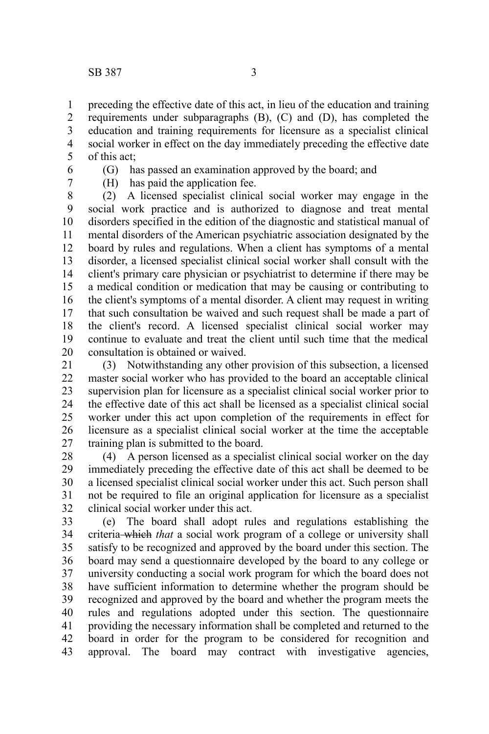preceding the effective date of this act, in lieu of the education and training requirements under subparagraphs (B), (C) and (D), has completed the education and training requirements for licensure as a specialist clinical social worker in effect on the day immediately preceding the effective date of this act; 1 2 3 4 5

6 7 (G) has passed an examination approved by the board; and (H) has paid the application fee.

(2) A licensed specialist clinical social worker may engage in the social work practice and is authorized to diagnose and treat mental disorders specified in the edition of the diagnostic and statistical manual of mental disorders of the American psychiatric association designated by the board by rules and regulations. When a client has symptoms of a mental disorder, a licensed specialist clinical social worker shall consult with the client's primary care physician or psychiatrist to determine if there may be a medical condition or medication that may be causing or contributing to the client's symptoms of a mental disorder. A client may request in writing that such consultation be waived and such request shall be made a part of the client's record. A licensed specialist clinical social worker may continue to evaluate and treat the client until such time that the medical consultation is obtained or waived. 8 9 10 11 12 13 14 15 16 17 18 19 20

(3) Notwithstanding any other provision of this subsection, a licensed master social worker who has provided to the board an acceptable clinical supervision plan for licensure as a specialist clinical social worker prior to the effective date of this act shall be licensed as a specialist clinical social worker under this act upon completion of the requirements in effect for licensure as a specialist clinical social worker at the time the acceptable training plan is submitted to the board. 21 22 23 24 25 26 27

(4) A person licensed as a specialist clinical social worker on the day immediately preceding the effective date of this act shall be deemed to be a licensed specialist clinical social worker under this act. Such person shall not be required to file an original application for licensure as a specialist clinical social worker under this act. 28 29 30 31 32

(e) The board shall adopt rules and regulations establishing the criteria which *that* a social work program of a college or university shall satisfy to be recognized and approved by the board under this section. The board may send a questionnaire developed by the board to any college or university conducting a social work program for which the board does not have sufficient information to determine whether the program should be recognized and approved by the board and whether the program meets the rules and regulations adopted under this section. The questionnaire providing the necessary information shall be completed and returned to the board in order for the program to be considered for recognition and approval. The board may contract with investigative agencies, 33 34 35 36 37 38 39 40 41 42 43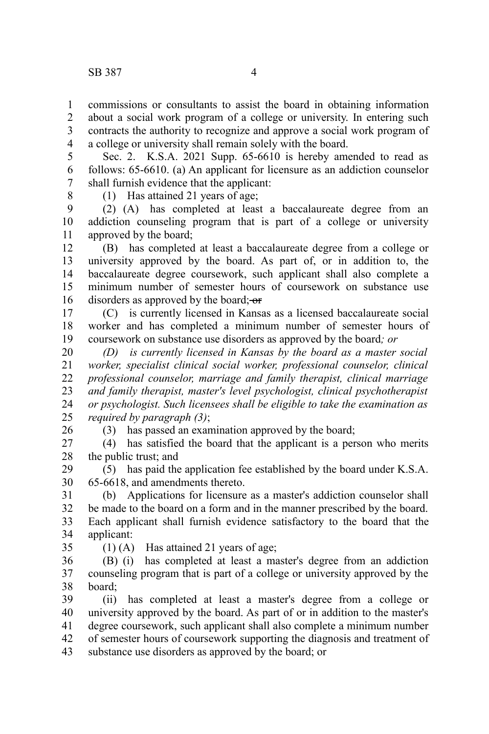commissions or consultants to assist the board in obtaining information about a social work program of a college or university. In entering such contracts the authority to recognize and approve a social work program of a college or university shall remain solely with the board. 1 2 3 4

Sec. 2. K.S.A. 2021 Supp. 65-6610 is hereby amended to read as follows: 65-6610. (a) An applicant for licensure as an addiction counselor shall furnish evidence that the applicant: 5 6 7

8

(1) Has attained 21 years of age;

(2) (A) has completed at least a baccalaureate degree from an addiction counseling program that is part of a college or university approved by the board; 9 10 11

(B) has completed at least a baccalaureate degree from a college or university approved by the board. As part of, or in addition to, the baccalaureate degree coursework, such applicant shall also complete a minimum number of semester hours of coursework on substance use disorders as approved by the board; or 12 13 14 15 16

(C) is currently licensed in Kansas as a licensed baccalaureate social worker and has completed a minimum number of semester hours of coursework on substance use disorders as approved by the board*; or*  17 18 19

*(D) is currently licensed in Kansas by the board as a master social worker, specialist clinical social worker, professional counselor, clinical professional counselor, marriage and family therapist, clinical marriage and family therapist, master's level psychologist, clinical psychotherapist or psychologist. Such licensees shall be eligible to take the examination as required by paragraph (3)*; 20 21 22 23 24 25

26

(3) has passed an examination approved by the board;

(4) has satisfied the board that the applicant is a person who merits the public trust; and 27 28

(5) has paid the application fee established by the board under K.S.A. 65-6618, and amendments thereto. 29 30

(b) Applications for licensure as a master's addiction counselor shall be made to the board on a form and in the manner prescribed by the board. Each applicant shall furnish evidence satisfactory to the board that the applicant: 31 32 33 34

35

(1) (A) Has attained 21 years of age;

(B) (i) has completed at least a master's degree from an addiction counseling program that is part of a college or university approved by the board; 36 37 38

(ii) has completed at least a master's degree from a college or university approved by the board. As part of or in addition to the master's degree coursework, such applicant shall also complete a minimum number of semester hours of coursework supporting the diagnosis and treatment of substance use disorders as approved by the board; or 39 40 41 42 43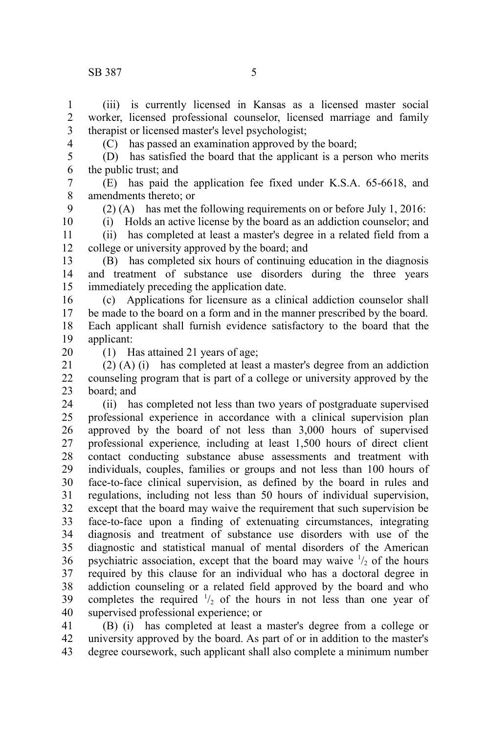(iii) is currently licensed in Kansas as a licensed master social worker, licensed professional counselor, licensed marriage and family therapist or licensed master's level psychologist; 1 2 3

(C) has passed an examination approved by the board;

(D) has satisfied the board that the applicant is a person who merits the public trust; and 5 6

(E) has paid the application fee fixed under K.S.A. 65-6618, and amendments thereto; or 7 8

9 10

4

(2) (A) has met the following requirements on or before July 1, 2016: (i) Holds an active license by the board as an addiction counselor; and

(ii) has completed at least a master's degree in a related field from a college or university approved by the board; and 11 12

(B) has completed six hours of continuing education in the diagnosis and treatment of substance use disorders during the three years immediately preceding the application date. 13 14 15

(c) Applications for licensure as a clinical addiction counselor shall be made to the board on a form and in the manner prescribed by the board. Each applicant shall furnish evidence satisfactory to the board that the applicant: 16 17 18 19

20

(1) Has attained 21 years of age;

(2) (A) (i) has completed at least a master's degree from an addiction counseling program that is part of a college or university approved by the board; and 21 22 23

(ii) has completed not less than two years of postgraduate supervised professional experience in accordance with a clinical supervision plan approved by the board of not less than 3,000 hours of supervised professional experience*,* including at least 1,500 hours of direct client contact conducting substance abuse assessments and treatment with individuals, couples, families or groups and not less than 100 hours of face-to-face clinical supervision, as defined by the board in rules and regulations, including not less than 50 hours of individual supervision, except that the board may waive the requirement that such supervision be face-to-face upon a finding of extenuating circumstances, integrating diagnosis and treatment of substance use disorders with use of the diagnostic and statistical manual of mental disorders of the American psychiatric association, except that the board may waive  $\frac{1}{2}$  of the hours required by this clause for an individual who has a doctoral degree in addiction counseling or a related field approved by the board and who completes the required  $\frac{1}{2}$  of the hours in not less than one year of supervised professional experience; or 24 25 26 27 28 29 30 31 32 33 34 35 36 37 38 39 40

(B) (i) has completed at least a master's degree from a college or university approved by the board. As part of or in addition to the master's degree coursework, such applicant shall also complete a minimum number 41 42 43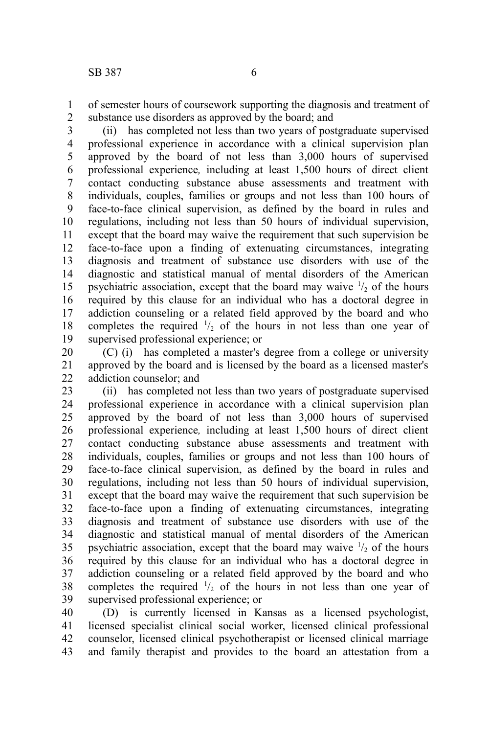of semester hours of coursework supporting the diagnosis and treatment of substance use disorders as approved by the board; and 1 2

(ii) has completed not less than two years of postgraduate supervised professional experience in accordance with a clinical supervision plan approved by the board of not less than 3,000 hours of supervised professional experience*,* including at least 1,500 hours of direct client contact conducting substance abuse assessments and treatment with individuals, couples, families or groups and not less than 100 hours of face-to-face clinical supervision, as defined by the board in rules and regulations, including not less than 50 hours of individual supervision, except that the board may waive the requirement that such supervision be face-to-face upon a finding of extenuating circumstances, integrating diagnosis and treatment of substance use disorders with use of the diagnostic and statistical manual of mental disorders of the American psychiatric association, except that the board may waive  $\frac{1}{2}$  of the hours required by this clause for an individual who has a doctoral degree in addiction counseling or a related field approved by the board and who completes the required  $\frac{1}{2}$  of the hours in not less than one year of supervised professional experience; or 3 4 5 6 7 8 9 10 11 12 13 14 15 16 17 18 19

(C) (i) has completed a master's degree from a college or university approved by the board and is licensed by the board as a licensed master's addiction counselor; and 20 21 22

(ii) has completed not less than two years of postgraduate supervised professional experience in accordance with a clinical supervision plan approved by the board of not less than 3,000 hours of supervised professional experience*,* including at least 1,500 hours of direct client contact conducting substance abuse assessments and treatment with individuals, couples, families or groups and not less than 100 hours of face-to-face clinical supervision, as defined by the board in rules and regulations, including not less than 50 hours of individual supervision, except that the board may waive the requirement that such supervision be face-to-face upon a finding of extenuating circumstances, integrating diagnosis and treatment of substance use disorders with use of the diagnostic and statistical manual of mental disorders of the American psychiatric association, except that the board may waive  $\frac{1}{2}$  of the hours required by this clause for an individual who has a doctoral degree in addiction counseling or a related field approved by the board and who completes the required  $\frac{1}{2}$  of the hours in not less than one year of supervised professional experience; or 23 24 25 26 27 28 29 30 31 32 33 34 35 36 37 38 39

(D) is currently licensed in Kansas as a licensed psychologist, licensed specialist clinical social worker, licensed clinical professional counselor, licensed clinical psychotherapist or licensed clinical marriage and family therapist and provides to the board an attestation from a 40 41 42 43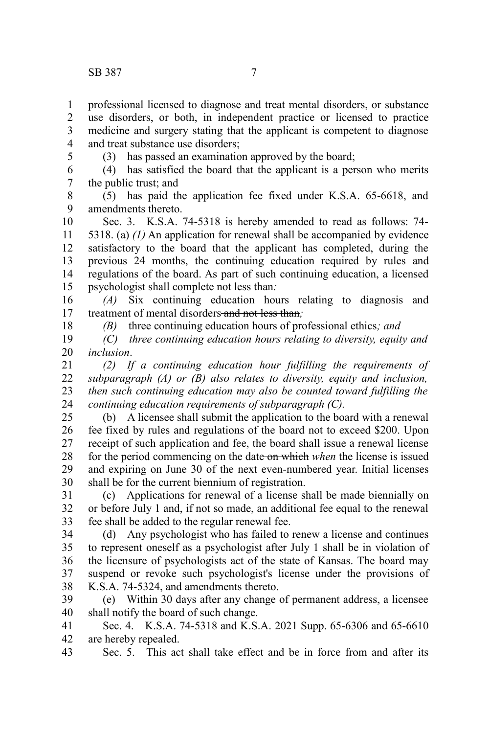professional licensed to diagnose and treat mental disorders, or substance use disorders, or both, in independent practice or licensed to practice medicine and surgery stating that the applicant is competent to diagnose and treat substance use disorders; 1 2 3 4

5

(3) has passed an examination approved by the board;

(4) has satisfied the board that the applicant is a person who merits the public trust; and 6 7

(5) has paid the application fee fixed under K.S.A. 65-6618, and amendments thereto. 8 9

Sec. 3. K.S.A. 74-5318 is hereby amended to read as follows: 74- 5318. (a) *(1)* An application for renewal shall be accompanied by evidence satisfactory to the board that the applicant has completed, during the previous 24 months, the continuing education required by rules and regulations of the board. As part of such continuing education, a licensed psychologist shall complete not less than*:* 10 11 12 13 14 15

*(A)* Six continuing education hours relating to diagnosis and treatment of mental disorders and not less than*;* 16 17

18

*(B)* three continuing education hours of professional ethics*; and*

*(C) three continuing education hours relating to diversity, equity and inclusion*. 19 20

*(2) If a continuing education hour fulfilling the requirements of subparagraph (A) or (B) also relates to diversity, equity and inclusion, then such continuing education may also be counted toward fulfilling the continuing education requirements of subparagraph (C).* 21 22 23 24

(b) A licensee shall submit the application to the board with a renewal fee fixed by rules and regulations of the board not to exceed \$200. Upon receipt of such application and fee, the board shall issue a renewal license for the period commencing on the date on which *when* the license is issued and expiring on June 30 of the next even-numbered year. Initial licenses shall be for the current biennium of registration. 25 26 27 28 29 30

(c) Applications for renewal of a license shall be made biennially on or before July 1 and, if not so made, an additional fee equal to the renewal fee shall be added to the regular renewal fee. 31 32 33

(d) Any psychologist who has failed to renew a license and continues to represent oneself as a psychologist after July 1 shall be in violation of the licensure of psychologists act of the state of Kansas. The board may suspend or revoke such psychologist's license under the provisions of K.S.A. 74-5324, and amendments thereto. 34 35 36 37 38

(e) Within 30 days after any change of permanent address, a licensee shall notify the board of such change. 39 40

Sec. 4. K.S.A. 74-5318 and K.S.A. 2021 Supp. 65-6306 and 65-6610 are hereby repealed. 41 42

Sec. 5. This act shall take effect and be in force from and after its 43